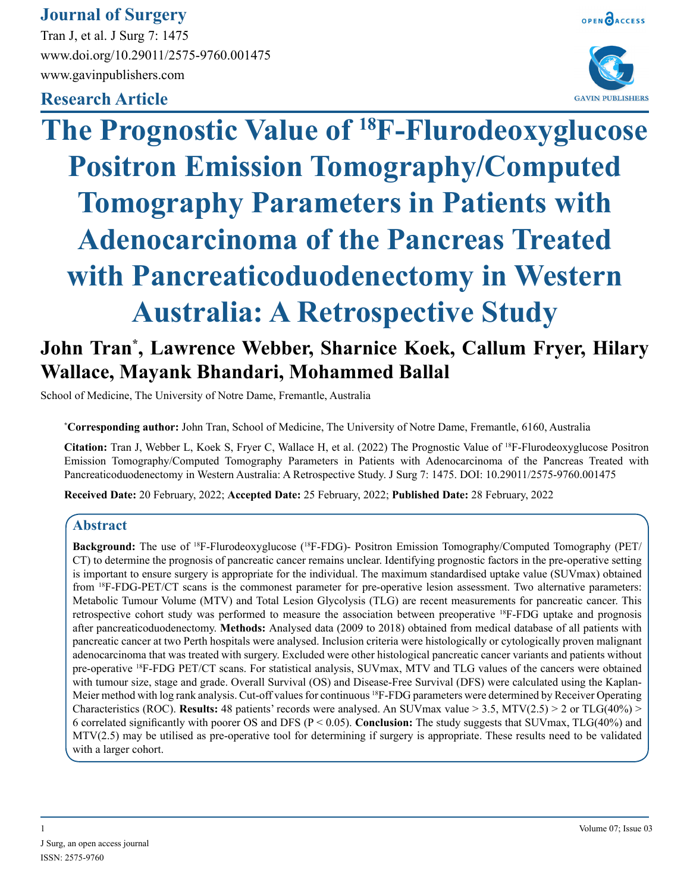# **Journal of Surgery**

Tran J, et al. J Surg 7: 1475 www.doi.org/10.29011/2575-9760.001475 www.gavinpublishers.com

# **Research Article**





# **The Prognostic Value of 18F-Flurodeoxyglucose Positron Emission Tomography/Computed Tomography Parameters in Patients with Adenocarcinoma of the Pancreas Treated with Pancreaticoduodenectomy in Western Australia: A Retrospective Study**

# **John Tran\* , Lawrence Webber, Sharnice Koek, Callum Fryer, Hilary Wallace, Mayank Bhandari, Mohammed Ballal**

School of Medicine, The University of Notre Dame, Fremantle, Australia

**\* Corresponding author:** John Tran, School of Medicine, The University of Notre Dame, Fremantle, 6160, Australia

**Citation:** Tran J, Webber L, Koek S, Fryer C, Wallace H, et al. (2022) The Prognostic Value of 18F-Flurodeoxyglucose Positron Emission Tomography/Computed Tomography Parameters in Patients with Adenocarcinoma of the Pancreas Treated with Pancreaticoduodenectomy in Western Australia: A Retrospective Study. J Surg 7: 1475. DOI: 10.29011/2575-9760.001475

**Received Date:** 20 February, 2022; **Accepted Date:** 25 February, 2022; **Published Date:** 28 February, 2022

# **Abstract**

Background: The use of <sup>18</sup>F-Flurodeoxyglucose (<sup>18</sup>F-FDG)- Positron Emission Tomography/Computed Tomography (PET/ CT) to determine the prognosis of pancreatic cancer remains unclear. Identifying prognostic factors in the pre-operative setting is important to ensure surgery is appropriate for the individual. The maximum standardised uptake value (SUVmax) obtained from 18F-FDG-PET/CT scans is the commonest parameter for pre-operative lesion assessment. Two alternative parameters: Metabolic Tumour Volume (MTV) and Total Lesion Glycolysis (TLG) are recent measurements for pancreatic cancer. This retrospective cohort study was performed to measure the association between preoperative 18F-FDG uptake and prognosis after pancreaticoduodenectomy. **Methods:** Analysed data (2009 to 2018) obtained from medical database of all patients with pancreatic cancer at two Perth hospitals were analysed. Inclusion criteria were histologically or cytologically proven malignant adenocarcinoma that was treated with surgery. Excluded were other histological pancreatic cancer variants and patients without pre-operative 18F-FDG PET/CT scans. For statistical analysis, SUVmax, MTV and TLG values of the cancers were obtained with tumour size, stage and grade. Overall Survival (OS) and Disease-Free Survival (DFS) were calculated using the Kaplan-Meier method with log rank analysis. Cut-off values for continuous 18F-FDG parameters were determined by Receiver Operating Characteristics (ROC). **Results:** 48 patients' records were analysed. An SUVmax value  $> 3.5$ , MTV(2.5)  $> 2$  or TLG(40%)  $>$ 6 correlated significantly with poorer OS and DFS (P < 0.05). **Conclusion:** The study suggests that SUVmax, TLG(40%) and MTV(2.5) may be utilised as pre-operative tool for determining if surgery is appropriate. These results need to be validated with a larger cohort.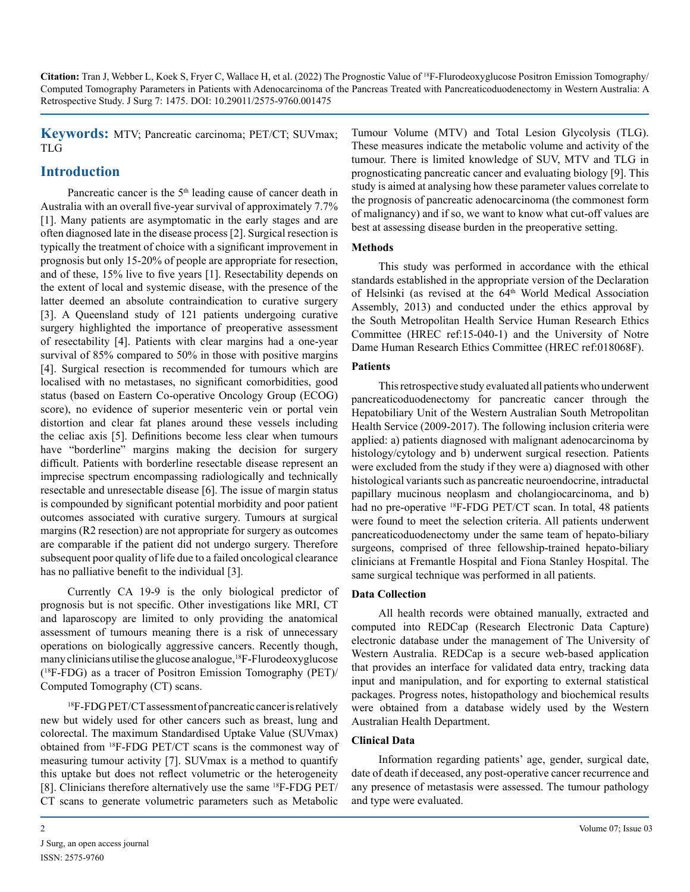**Keywords:** MTV; Pancreatic carcinoma; PET/CT; SUVmax; TLG

# **Introduction**

Pancreatic cancer is the 5<sup>th</sup> leading cause of cancer death in Australia with an overall five-year survival of approximately 7.7% [1]. Many patients are asymptomatic in the early stages and are often diagnosed late in the disease process [2]. Surgical resection is typically the treatment of choice with a significant improvement in prognosis but only 15-20% of people are appropriate for resection, and of these, 15% live to five years [1]. Resectability depends on the extent of local and systemic disease, with the presence of the latter deemed an absolute contraindication to curative surgery [3]. A Queensland study of 121 patients undergoing curative surgery highlighted the importance of preoperative assessment of resectability [4]. Patients with clear margins had a one-year survival of 85% compared to 50% in those with positive margins [4]. Surgical resection is recommended for tumours which are localised with no metastases, no significant comorbidities, good status (based on Eastern Co-operative Oncology Group (ECOG) score), no evidence of superior mesenteric vein or portal vein distortion and clear fat planes around these vessels including the celiac axis [5]. Definitions become less clear when tumours have "borderline" margins making the decision for surgery difficult. Patients with borderline resectable disease represent an imprecise spectrum encompassing radiologically and technically resectable and unresectable disease [6]. The issue of margin status is compounded by significant potential morbidity and poor patient outcomes associated with curative surgery. Tumours at surgical margins (R2 resection) are not appropriate for surgery as outcomes are comparable if the patient did not undergo surgery. Therefore subsequent poor quality of life due to a failed oncological clearance has no palliative benefit to the individual [3].

Currently CA 19-9 is the only biological predictor of prognosis but is not specific. Other investigations like MRI, CT and laparoscopy are limited to only providing the anatomical assessment of tumours meaning there is a risk of unnecessary operations on biologically aggressive cancers. Recently though, many clinicians utilise the glucose analogue,<sup>18</sup>F-Flurodeoxyglucose ( 18F-FDG) as a tracer of Positron Emission Tomography (PET)/ Computed Tomography (CT) scans.

18F-FDG PET/CT assessment of pancreatic cancer is relatively new but widely used for other cancers such as breast, lung and colorectal. The maximum Standardised Uptake Value (SUVmax) obtained from 18F-FDG PET/CT scans is the commonest way of measuring tumour activity [7]. SUVmax is a method to quantify this uptake but does not reflect volumetric or the heterogeneity [8]. Clinicians therefore alternatively use the same 18F-FDG PET/ CT scans to generate volumetric parameters such as Metabolic

Tumour Volume (MTV) and Total Lesion Glycolysis (TLG). These measures indicate the metabolic volume and activity of the tumour. There is limited knowledge of SUV, MTV and TLG in prognosticating pancreatic cancer and evaluating biology [9]. This study is aimed at analysing how these parameter values correlate to the prognosis of pancreatic adenocarcinoma (the commonest form of malignancy) and if so, we want to know what cut-off values are best at assessing disease burden in the preoperative setting.

## **Methods**

This study was performed in accordance with the ethical standards established in the appropriate version of the Declaration of Helsinki (as revised at the 64<sup>th</sup> World Medical Association Assembly, 2013) and conducted under the ethics approval by the South Metropolitan Health Service Human Research Ethics Committee (HREC ref:15-040-1) and the University of Notre Dame Human Research Ethics Committee (HREC ref:018068F).

## **Patients**

This retrospective study evaluated all patients who underwent pancreaticoduodenectomy for pancreatic cancer through the Hepatobiliary Unit of the Western Australian South Metropolitan Health Service (2009-2017). The following inclusion criteria were applied: a) patients diagnosed with malignant adenocarcinoma by histology/cytology and b) underwent surgical resection. Patients were excluded from the study if they were a) diagnosed with other histological variants such as pancreatic neuroendocrine, intraductal papillary mucinous neoplasm and cholangiocarcinoma, and b) had no pre-operative <sup>18</sup>F-FDG PET/CT scan. In total, 48 patients were found to meet the selection criteria. All patients underwent pancreaticoduodenectomy under the same team of hepato-biliary surgeons, comprised of three fellowship-trained hepato-biliary clinicians at Fremantle Hospital and Fiona Stanley Hospital. The same surgical technique was performed in all patients.

## **Data Collection**

All health records were obtained manually, extracted and computed into REDCap (Research Electronic Data Capture) electronic database under the management of The University of Western Australia. REDCap is a secure web-based application that provides an interface for validated data entry, tracking data input and manipulation, and for exporting to external statistical packages. Progress notes, histopathology and biochemical results were obtained from a database widely used by the Western Australian Health Department.

## **Clinical Data**

Information regarding patients' age, gender, surgical date, date of death if deceased, any post-operative cancer recurrence and any presence of metastasis were assessed. The tumour pathology and type were evaluated.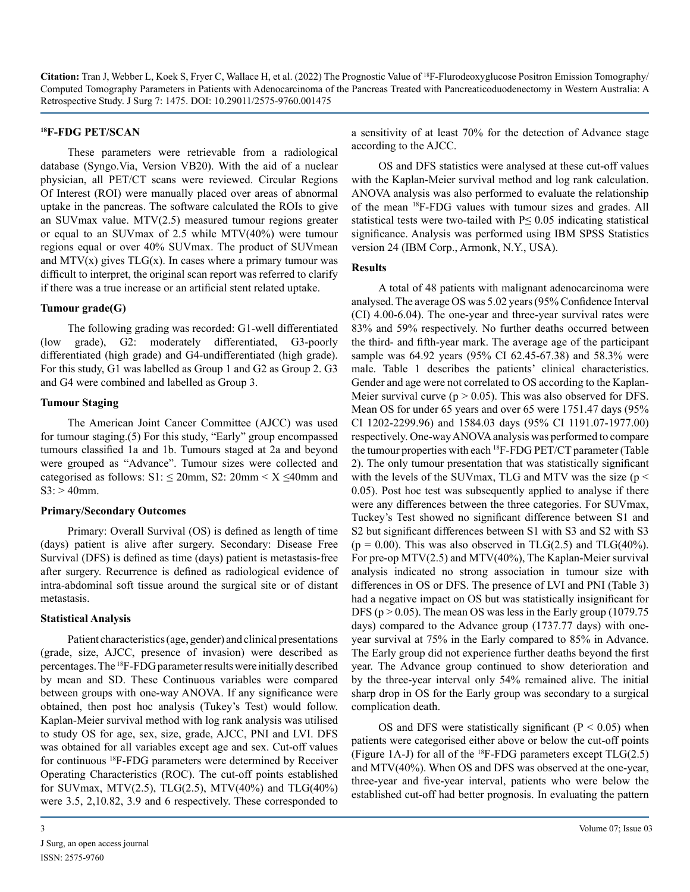#### **18F-FDG PET/SCAN**

These parameters were retrievable from a radiological database (Syngo.Via, Version VB20). With the aid of a nuclear physician, all PET/CT scans were reviewed. Circular Regions Of Interest (ROI) were manually placed over areas of abnormal uptake in the pancreas. The software calculated the ROIs to give an SUVmax value. MTV(2.5) measured tumour regions greater or equal to an SUVmax of 2.5 while MTV(40%) were tumour regions equal or over 40% SUVmax. The product of SUVmean and  $MTV(x)$  gives  $TLG(x)$ . In cases where a primary tumour was difficult to interpret, the original scan report was referred to clarify if there was a true increase or an artificial stent related uptake.

#### **Tumour grade(G)**

The following grading was recorded: G1-well differentiated (low grade), G2: moderately differentiated, G3-poorly differentiated (high grade) and G4-undifferentiated (high grade). For this study, G1 was labelled as Group 1 and G2 as Group 2. G3 and G4 were combined and labelled as Group 3.

#### **Tumour Staging**

The American Joint Cancer Committee (AJCC) was used for tumour staging.(5) For this study, "Early" group encompassed tumours classified 1a and 1b. Tumours staged at 2a and beyond were grouped as "Advance". Tumour sizes were collected and categorised as follows:  $S1: \leq 20$ mm,  $S2: 20$ mm <  $X \leq 40$ mm and  $S3: > 40$ mm.

#### **Primary/Secondary Outcomes**

Primary: Overall Survival (OS) is defined as length of time (days) patient is alive after surgery. Secondary: Disease Free Survival (DFS) is defined as time (days) patient is metastasis-free after surgery. Recurrence is defined as radiological evidence of intra-abdominal soft tissue around the surgical site or of distant metastasis.

#### **Statistical Analysis**

Patient characteristics (age, gender) and clinical presentations (grade, size, AJCC, presence of invasion) were described as percentages. The 18F-FDG parameter results were initially described by mean and SD. These Continuous variables were compared between groups with one-way ANOVA. If any significance were obtained, then post hoc analysis (Tukey's Test) would follow. Kaplan-Meier survival method with log rank analysis was utilised to study OS for age, sex, size, grade, AJCC, PNI and LVI. DFS was obtained for all variables except age and sex. Cut-off values for continuous 18F-FDG parameters were determined by Receiver Operating Characteristics (ROC). The cut-off points established for SUVmax, MTV $(2.5)$ , TLG $(2.5)$ , MTV $(40\%)$  and TLG $(40\%)$ were 3.5, 2,10.82, 3.9 and 6 respectively. These corresponded to

a sensitivity of at least 70% for the detection of Advance stage according to the AJCC.

OS and DFS statistics were analysed at these cut-off values with the Kaplan-Meier survival method and log rank calculation. ANOVA analysis was also performed to evaluate the relationship of the mean 18F-FDG values with tumour sizes and grades. All statistical tests were two-tailed with  $P \leq 0.05$  indicating statistical significance. Analysis was performed using IBM SPSS Statistics version 24 (IBM Corp., Armonk, N.Y., USA).

#### **Results**

A total of 48 patients with malignant adenocarcinoma were analysed. The average OS was 5.02 years (95% Confidence Interval (CI) 4.00-6.04). The one-year and three-year survival rates were 83% and 59% respectively. No further deaths occurred between the third- and fifth-year mark. The average age of the participant sample was 64.92 years (95% CI 62.45-67.38) and 58.3% were male. Table 1 describes the patients' clinical characteristics. Gender and age were not correlated to OS according to the Kaplan-Meier survival curve ( $p > 0.05$ ). This was also observed for DFS. Mean OS for under 65 years and over 65 were 1751.47 days (95% CI 1202-2299.96) and 1584.03 days (95% CI 1191.07-1977.00) respectively. One-way ANOVA analysis was performed to compare the tumour properties with each 18F-FDG PET/CT parameter (Table 2). The only tumour presentation that was statistically significant with the levels of the SUV max, TLG and MTV was the size ( $p <$ 0.05). Post hoc test was subsequently applied to analyse if there were any differences between the three categories. For SUVmax, Tuckey's Test showed no significant difference between S1 and S2 but significant differences between S1 with S3 and S2 with S3  $(p = 0.00)$ . This was also observed in TLG(2.5) and TLG(40%). For pre-op MTV(2.5) and MTV(40%), The Kaplan-Meier survival analysis indicated no strong association in tumour size with differences in OS or DFS. The presence of LVI and PNI (Table 3) had a negative impact on OS but was statistically insignificant for DFS ( $p > 0.05$ ). The mean OS was less in the Early group (1079.75) days) compared to the Advance group (1737.77 days) with oneyear survival at 75% in the Early compared to 85% in Advance. The Early group did not experience further deaths beyond the first year. The Advance group continued to show deterioration and by the three-year interval only 54% remained alive. The initial sharp drop in OS for the Early group was secondary to a surgical complication death.

OS and DFS were statistically significant ( $P < 0.05$ ) when patients were categorised either above or below the cut-off points (Figure 1A-J) for all of the  ${}^{18}$ F-FDG parameters except TLG(2.5) and MTV(40%). When OS and DFS was observed at the one-year, three-year and five-year interval, patients who were below the established cut-off had better prognosis. In evaluating the pattern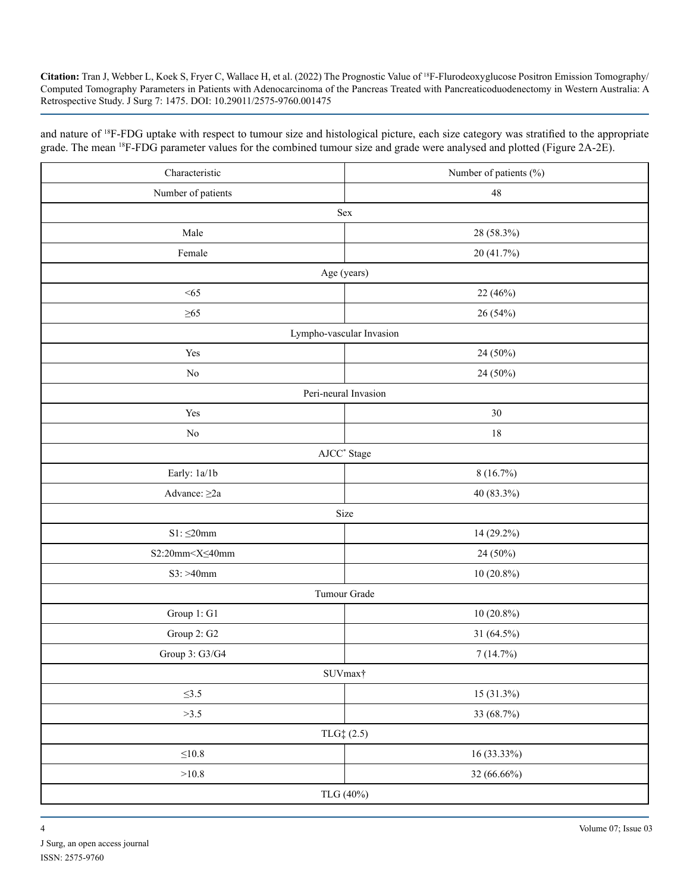and nature of 18F-FDG uptake with respect to tumour size and histological picture, each size category was stratified to the appropriate grade. The mean 18F-FDG parameter values for the combined tumour size and grade were analysed and plotted (Figure 2A-2E).

| Characteristic          | Number of patients (%)   |
|-------------------------|--------------------------|
| Number of patients      | $48\,$                   |
|                         | Sex                      |
| Male                    | 28 (58.3%)               |
| Female                  | 20 (41.7%)               |
|                         | Age (years)              |
| <65                     | 22 (46%)                 |
| $\geq 65$               | 26 (54%)                 |
|                         | Lympho-vascular Invasion |
| Yes                     | 24 (50%)                 |
| No                      | 24 (50%)                 |
|                         | Peri-neural Invasion     |
| Yes                     | 30                       |
| $\rm No$                | $18\,$                   |
|                         | AJCC <sup>*</sup> Stage  |
| Early: 1a/1b            | 8(16.7%)                 |
| Advance: $\geq 2a$      | 40 (83.3%)               |
|                         | Size                     |
| $S1: \leq 20mm$         | 14 (29.2%)               |
| $S2:20mm < X \leq 40mm$ | 24 (50%)                 |
| $S3: > 40$ mm           | $10(20.8\%)$             |
|                         | Tumour Grade             |
| Group 1: G1             | $10(20.8\%)$             |
| Group 2: G2             | 31 (64.5%)               |
| Group 3: G3/G4          | 7(14.7%)                 |
|                         | SUVmax <sup>+</sup>      |
| $\leq 3.5$              | 15 (31.3%)               |
| >3.5                    | 33 (68.7%)               |
|                         | $TLG_{+}^{+}(2.5)$       |
| ${\leq}10.8$            | 16 (33.33%)              |
| $>\!\!10.8$             | 32 (66.66%)              |
|                         | TLG (40%)                |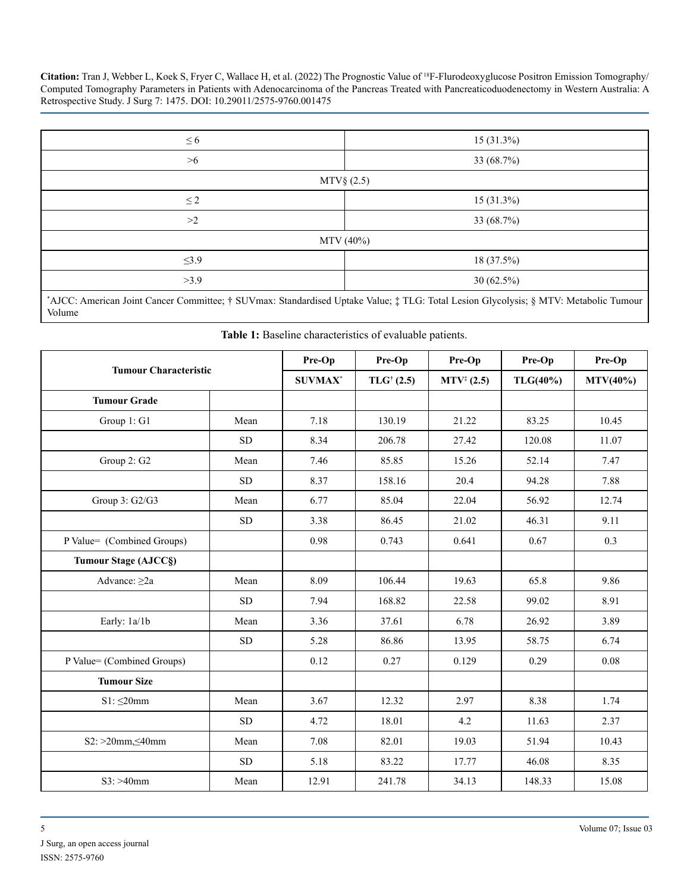| $\leq 6$   | $15(31.3\%)$   |  |  |  |  |  |  |
|------------|----------------|--|--|--|--|--|--|
| >6         | 33 (68.7%)     |  |  |  |  |  |  |
|            | $MTV\$ $(2.5)$ |  |  |  |  |  |  |
| $\leq 2$   | 15 (31.3%)     |  |  |  |  |  |  |
| >2         | 33 (68.7%)     |  |  |  |  |  |  |
|            | MTV (40%)      |  |  |  |  |  |  |
| $\leq 3.9$ | 18 (37.5%)     |  |  |  |  |  |  |
| >3.9       | $30(62.5\%)$   |  |  |  |  |  |  |
|            |                |  |  |  |  |  |  |

\* AJCC: American Joint Cancer Committee; † SUVmax: Standardised Uptake Value; ‡ TLG: Total Lesion Glycolysis; § MTV: Metabolic Tumour Volume

|  |  |  | Table 1: Baseline characteristics of evaluable patients. |  |  |  |
|--|--|--|----------------------------------------------------------|--|--|--|
|--|--|--|----------------------------------------------------------|--|--|--|

| <b>Tumour Characteristic</b> |            | Pre-Op         | Pre-Op               | Pre-Op                | Pre-Op   | Pre-Op      |
|------------------------------|------------|----------------|----------------------|-----------------------|----------|-------------|
|                              |            | <b>SUVMAX*</b> | $TLG^{\dagger}(2.5)$ | $MTV^{\ddagger}(2.5)$ | TLG(40%) | $MTV(40\%)$ |
| <b>Tumour Grade</b>          |            |                |                      |                       |          |             |
| Group 1: G1                  | Mean       | 7.18           | 130.19               | 21.22                 | 83.25    | 10.45       |
|                              | <b>SD</b>  | 8.34           | 206.78               | 27.42                 | 120.08   | 11.07       |
| Group 2: G2                  | Mean       | 7.46           | 85.85                | 15.26                 | 52.14    | 7.47        |
|                              | <b>SD</b>  | 8.37           | 158.16               | 20.4                  | 94.28    | 7.88        |
| Group 3: G2/G3               | Mean       | 6.77           | 85.04                | 22.04                 | 56.92    | 12.74       |
|                              | <b>SD</b>  | 3.38           | 86.45                | 21.02                 | 46.31    | 9.11        |
| P Value= (Combined Groups)   |            | 0.98           | 0.743                | 0.641                 | 0.67     | 0.3         |
| <b>Tumour Stage (AJCC§)</b>  |            |                |                      |                       |          |             |
| Advance: $\geq 2a$           | Mean       | 8.09           | 106.44               | 19.63                 | 65.8     | 9.86        |
|                              | <b>SD</b>  | 7.94           | 168.82               | 22.58                 | 99.02    | 8.91        |
| Early: 1a/1b                 | Mean       | 3.36           | 37.61                | 6.78                  | 26.92    | 3.89        |
|                              | <b>SD</b>  | 5.28           | 86.86                | 13.95                 | 58.75    | 6.74        |
| P Value= (Combined Groups)   |            | 0.12           | 0.27                 | 0.129                 | 0.29     | 0.08        |
| <b>Tumour Size</b>           |            |                |                      |                       |          |             |
| $S1: \leq 20$ mm             | Mean       | 3.67           | 12.32                | 2.97                  | 8.38     | 1.74        |
|                              | ${\rm SD}$ | 4.72           | 18.01                | 4.2                   | 11.63    | 2.37        |
| $S2: >20$ mm, $\leq 40$ mm   | Mean       | 7.08           | 82.01                | 19.03                 | 51.94    | 10.43       |
|                              | ${\rm SD}$ | 5.18           | 83.22                | 17.77                 | 46.08    | 8.35        |
| $S3: > 40$ mm                | Mean       | 12.91          | 241.78               | 34.13                 | 148.33   | 15.08       |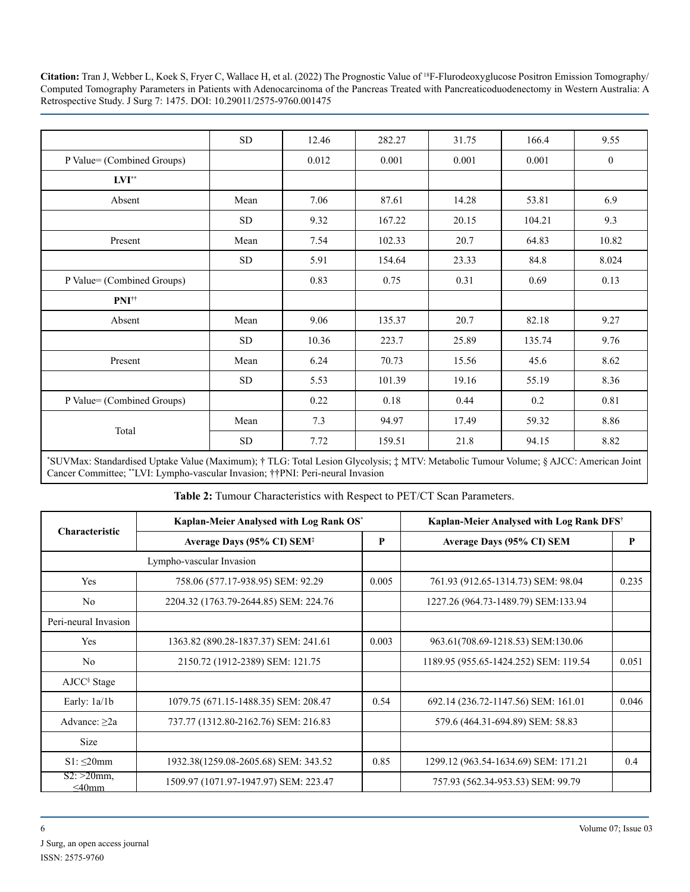|                            | SD         | 12.46 | 282.27 | 31.75 | 166.4  | 9.55             |
|----------------------------|------------|-------|--------|-------|--------|------------------|
| P Value= (Combined Groups) |            | 0.012 | 0.001  | 0.001 | 0.001  | $\boldsymbol{0}$ |
| $\mathbf{LVI}^{**}$        |            |       |        |       |        |                  |
| Absent                     | Mean       | 7.06  | 87.61  | 14.28 | 53.81  | 6.9              |
|                            | SD         | 9.32  | 167.22 | 20.15 | 104.21 | 9.3              |
| Present                    | Mean       | 7.54  | 102.33 | 20.7  | 64.83  | 10.82            |
|                            | SD         | 5.91  | 154.64 | 23.33 | 84.8   | 8.024            |
| P Value= (Combined Groups) |            | 0.83  | 0.75   | 0.31  | 0.69   | 0.13             |
| PNI <sup>††</sup>          |            |       |        |       |        |                  |
| Absent                     | Mean       | 9.06  | 135.37 | 20.7  | 82.18  | 9.27             |
|                            | SD         | 10.36 | 223.7  | 25.89 | 135.74 | 9.76             |
| Present                    | Mean       | 6.24  | 70.73  | 15.56 | 45.6   | 8.62             |
|                            | ${\rm SD}$ | 5.53  | 101.39 | 19.16 | 55.19  | 8.36             |
| P Value= (Combined Groups) |            | 0.22  | 0.18   | 0.44  | 0.2    | 0.81             |
| Total                      | Mean       | 7.3   | 94.97  | 17.49 | 59.32  | 8.86             |
|                            | SD         | 7.72  | 159.51 | 21.8  | 94.15  | 8.82             |

\* SUVMax: Standardised Uptake Value (Maximum); † TLG: Total Lesion Glycolysis; ‡ MTV: Metabolic Tumour Volume; § AJCC: American Joint Cancer Committee; \*\*LVI: Lympho-vascular Invasion; ††PNI: Peri-neural Invasion

**Table 2:** Tumour Characteristics with Respect to PET/CT Scan Parameters.

|                              | Kaplan-Meier Analysed with Log Rank OS* | Kaplan-Meier Analysed with Log Rank DFS <sup>†</sup> |                                       |       |
|------------------------------|-----------------------------------------|------------------------------------------------------|---------------------------------------|-------|
| <b>Characteristic</b>        | Average Days (95% CI) SEM <sup>‡</sup>  | P                                                    | Average Days (95% CI) SEM             | P     |
|                              | Lympho-vascular Invasion                |                                                      |                                       |       |
| Yes                          | 758.06 (577.17-938.95) SEM: 92.29       | 0.005                                                | 761.93 (912.65-1314.73) SEM: 98.04    | 0.235 |
| N <sub>0</sub>               | 2204.32 (1763.79-2644.85) SEM: 224.76   |                                                      | 1227.26 (964.73-1489.79) SEM:133.94   |       |
| Peri-neural Invasion         |                                         |                                                      |                                       |       |
| Yes                          | 1363.82 (890.28-1837.37) SEM: 241.61    | 0.003                                                | 963.61(708.69-1218.53) SEM:130.06     |       |
| N <sub>0</sub>               | 2150.72 (1912-2389) SEM: 121.75         |                                                      | 1189.95 (955.65-1424.252) SEM: 119.54 | 0.051 |
| AJCC <sup>§</sup> Stage      |                                         |                                                      |                                       |       |
| Early: $1a/1b$               | 1079.75 (671.15-1488.35) SEM: 208.47    | 0.54                                                 | 692.14 (236.72-1147.56) SEM: 161.01   | 0.046 |
| Advance: $\geq 2a$           | 737.77 (1312.80-2162.76) SEM: 216.83    |                                                      | 579.6 (464.31-694.89) SEM: 58.83      |       |
| <b>Size</b>                  |                                         |                                                      |                                       |       |
| $S1: \leq 20$ mm             | 1932.38(1259.08-2605.68) SEM: 343.52    | 0.85                                                 | 1299.12 (963.54-1634.69) SEM: 171.21  | 0.4   |
| $S2: >20$ mm,<br>$\leq$ 40mm | 1509.97 (1071.97-1947.97) SEM: 223.47   |                                                      | 757.93 (562.34-953.53) SEM: 99.79     |       |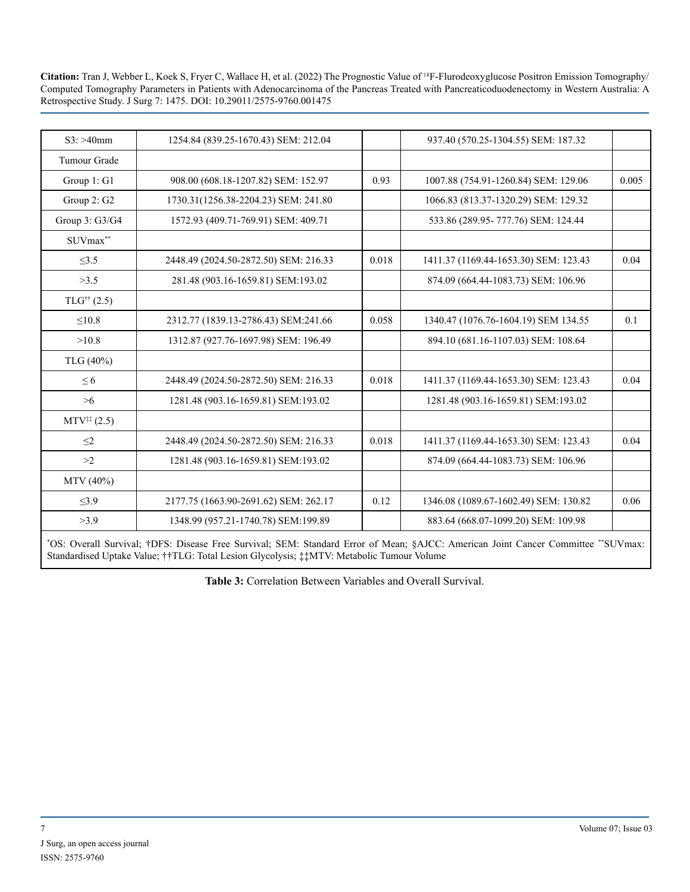| $S3: > 40$ mm               | 1254.84 (839.25-1670.43) SEM: 212.04  |       | 937.40 (570.25-1304.55) SEM: 187.32   |       |
|-----------------------------|---------------------------------------|-------|---------------------------------------|-------|
| Tumour Grade                |                                       |       |                                       |       |
| Group 1: G1                 | 908.00 (608.18-1207.82) SEM: 152.97   | 0.93  | 1007.88 (754.91-1260.84) SEM: 129.06  | 0.005 |
| Group 2: G2                 | 1730.31(1256.38-2204.23) SEM: 241.80  |       | 1066.83 (813.37-1320.29) SEM: 129.32  |       |
| Group 3: G3/G4              | 1572.93 (409.71-769.91) SEM: 409.71   |       | 533.86 (289.95-777.76) SEM: 124.44    |       |
| SUVmax**                    |                                       |       |                                       |       |
| $\leq$ 3.5                  | 2448.49 (2024.50-2872.50) SEM: 216.33 | 0.018 | 1411.37 (1169.44-1653.30) SEM: 123.43 | 0.04  |
| >3.5                        | 281.48 (903.16-1659.81) SEM:193.02    |       | 874.09 (664.44-1083.73) SEM: 106.96   |       |
| $TLG^{\dagger\dagger}(2.5)$ |                                       |       |                                       |       |
| $\leq 10.8$                 | 2312.77 (1839.13-2786.43) SEM:241.66  | 0.058 | 1340.47 (1076.76-1604.19) SEM 134.55  | 0.1   |
| >10.8                       | 1312.87 (927.76-1697.98) SEM: 196.49  |       | 894.10 (681.16-1107.03) SEM: 108.64   |       |
| TLG (40%)                   |                                       |       |                                       |       |
| $\leq 6$                    | 2448.49 (2024.50-2872.50) SEM: 216.33 | 0.018 | 1411.37 (1169.44-1653.30) SEM: 123.43 | 0.04  |
| >6                          | 1281.48 (903.16-1659.81) SEM:193.02   |       | 1281.48 (903.16-1659.81) SEM:193.02   |       |
| $MTV^{**}(2.5)$             |                                       |       |                                       |       |
| $\leq$ 2                    | 2448.49 (2024.50-2872.50) SEM: 216.33 | 0.018 | 1411.37 (1169.44-1653.30) SEM: 123.43 | 0.04  |
| >2                          | 1281.48 (903.16-1659.81) SEM:193.02   |       | 874.09 (664.44-1083.73) SEM: 106.96   |       |
| MTV (40%)                   |                                       |       |                                       |       |
| $\leq$ 3.9                  | 2177.75 (1663.90-2691.62) SEM: 262.17 | 0.12  | 1346.08 (1089.67-1602.49) SEM: 130.82 | 0.06  |
| >3.9                        | 1348.99 (957.21-1740.78) SEM:199.89   |       | 883.64 (668.07-1099.20) SEM: 109.98   |       |

\* OS: Overall Survival; †DFS: Disease Free Survival; SEM: Standard Error of Mean; §AJCC: American Joint Cancer Committee \*\*SUVmax: Standardised Uptake Value; ††TLG: Total Lesion Glycolysis; ‡‡MTV: Metabolic Tumour Volume

**Table 3:** Correlation Between Variables and Overall Survival.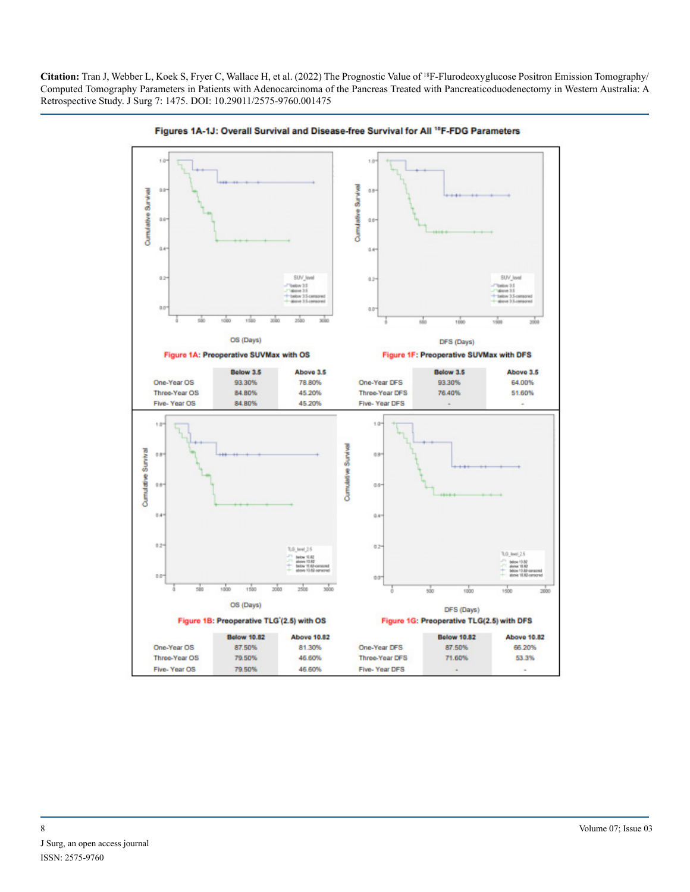

Figures 1A-1J: Overall Survival and Disease-free Survival for All <sup>18</sup>F-FDG Parameters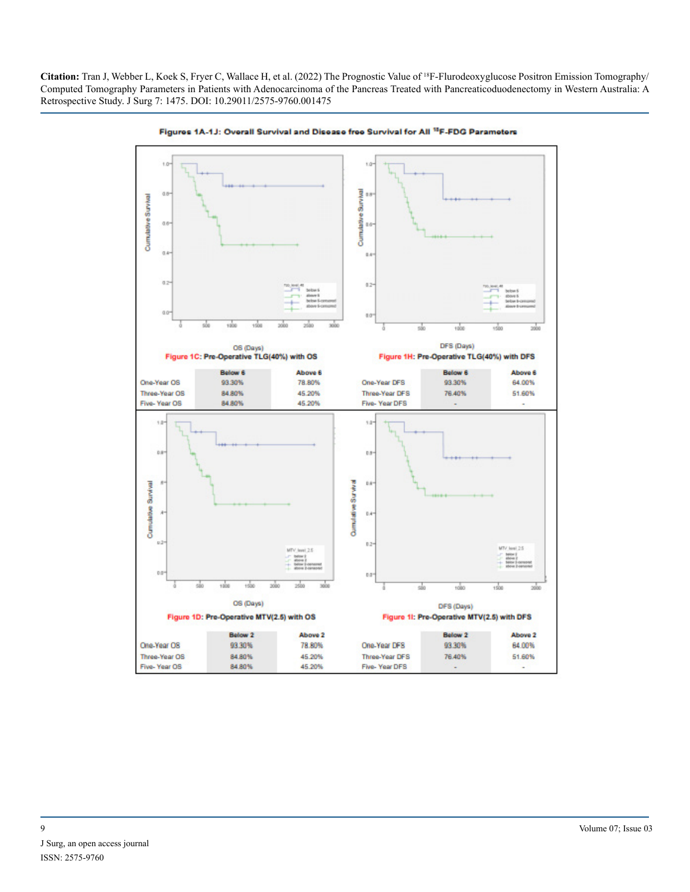

Figures 1A-1J: Overall Survival and Disease free Survival for All <sup>18</sup>F-FDG Parameters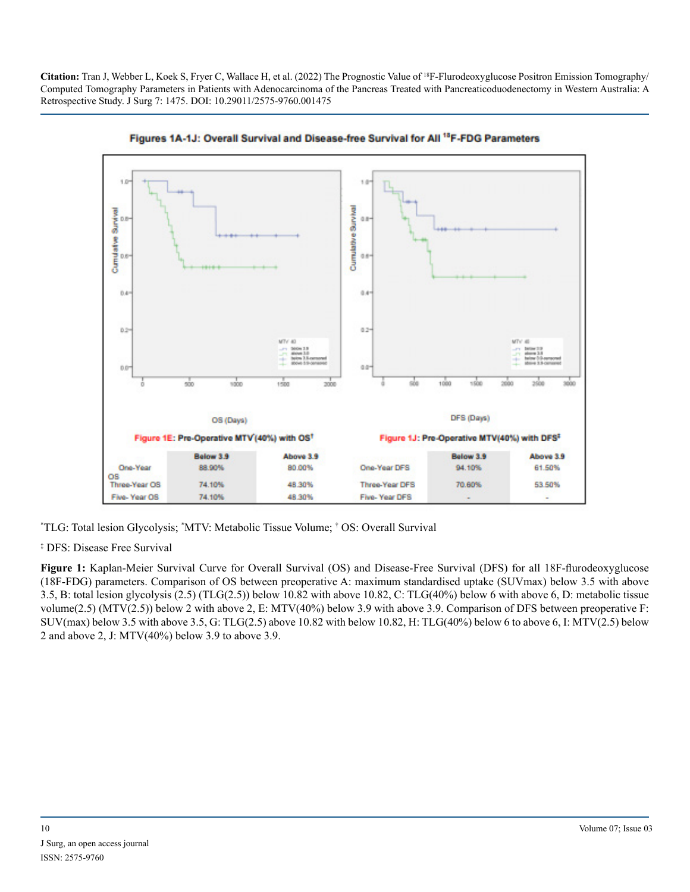



\* TLG: Total lesion Glycolysis; \* MTV: Metabolic Tissue Volume; † OS: Overall Survival

‡ DFS: Disease Free Survival

**Figure 1:** Kaplan-Meier Survival Curve for Overall Survival (OS) and Disease-Free Survival (DFS) for all 18F-flurodeoxyglucose (18F-FDG) parameters. Comparison of OS between preoperative A: maximum standardised uptake (SUVmax) below 3.5 with above 3.5, B: total lesion glycolysis (2.5) (TLG(2.5)) below 10.82 with above 10.82, C: TLG(40%) below 6 with above 6, D: metabolic tissue volume(2.5) (MTV(2.5)) below 2 with above 2, E: MTV(40%) below 3.9 with above 3.9. Comparison of DFS between preoperative F: SUV(max) below 3.5 with above 3.5, G: TLG(2.5) above 10.82 with below 10.82, H: TLG(40%) below 6 to above 6, I: MTV(2.5) below 2 and above 2, J: MTV(40%) below 3.9 to above 3.9.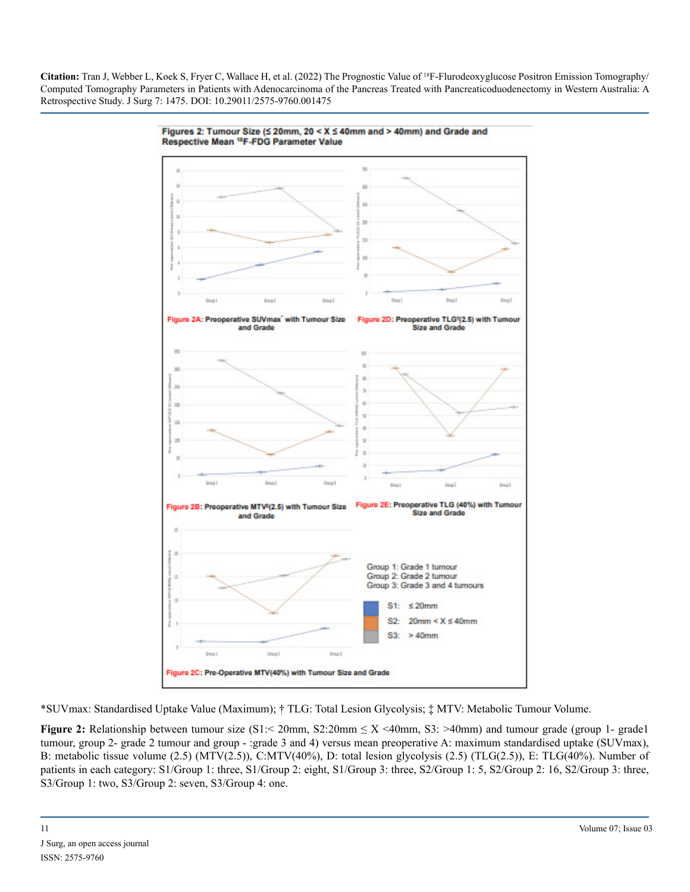

Figures 2: Tumour Size (≤ 20mm, 20 < X ≤ 40mm and > 40mm) and Grade and Respective Mean <sup>18</sup>F-FDG Parameter Value

\*SUVmax: Standardised Uptake Value (Maximum); † TLG: Total Lesion Glycolysis; ‡ MTV: Metabolic Tumour Volume.

**Figure 2:** Relationship between tumour size (S1:< 20mm, S2:20mm ≤ X <40mm, S3: >40mm) and tumour grade (group 1- grade1 tumour, group 2- grade 2 tumour and group - :grade 3 and 4) versus mean preoperative A: maximum standardised uptake (SUVmax), B: metabolic tissue volume (2.5) (MTV(2.5)), C:MTV(40%), D: total lesion glycolysis (2.5) (TLG(2.5)), E: TLG(40%). Number of patients in each category: S1/Group 1: three, S1/Group 2: eight, S1/Group 3: three, S2/Group 1: 5, S2/Group 2: 16, S2/Group 3: three, S3/Group 1: two, S3/Group 2: seven, S3/Group 4: one.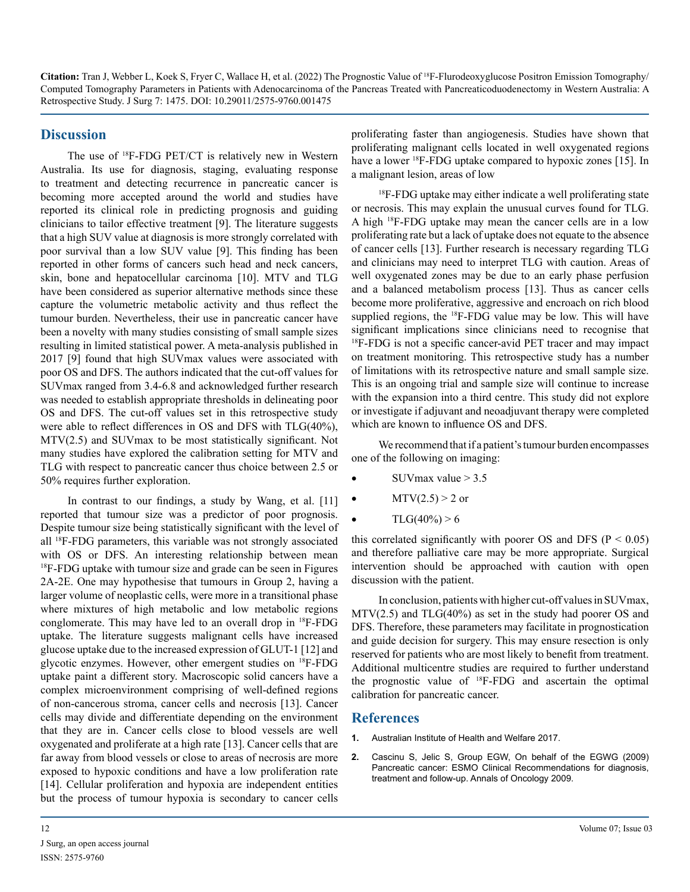# **Discussion**

The use of 18F-FDG PET/CT is relatively new in Western Australia. Its use for diagnosis, staging, evaluating response to treatment and detecting recurrence in pancreatic cancer is becoming more accepted around the world and studies have reported its clinical role in predicting prognosis and guiding clinicians to tailor effective treatment [9]. The literature suggests that a high SUV value at diagnosis is more strongly correlated with poor survival than a low SUV value [9]. This finding has been reported in other forms of cancers such head and neck cancers, skin, bone and hepatocellular carcinoma [10]. MTV and TLG have been considered as superior alternative methods since these capture the volumetric metabolic activity and thus reflect the tumour burden. Nevertheless, their use in pancreatic cancer have been a novelty with many studies consisting of small sample sizes resulting in limited statistical power. A meta-analysis published in 2017 [9] found that high SUVmax values were associated with poor OS and DFS. The authors indicated that the cut-off values for SUVmax ranged from 3.4-6.8 and acknowledged further research was needed to establish appropriate thresholds in delineating poor OS and DFS. The cut-off values set in this retrospective study were able to reflect differences in OS and DFS with TLG(40%), MTV(2.5) and SUVmax to be most statistically significant. Not many studies have explored the calibration setting for MTV and TLG with respect to pancreatic cancer thus choice between 2.5 or 50% requires further exploration.

In contrast to our findings, a study by Wang, et al. [11] reported that tumour size was a predictor of poor prognosis. Despite tumour size being statistically significant with the level of all 18F-FDG parameters, this variable was not strongly associated with OS or DFS. An interesting relationship between mean <sup>18</sup>F-FDG uptake with tumour size and grade can be seen in Figures 2A-2E. One may hypothesise that tumours in Group 2, having a larger volume of neoplastic cells, were more in a transitional phase where mixtures of high metabolic and low metabolic regions conglomerate. This may have led to an overall drop in 18F-FDG uptake. The literature suggests malignant cells have increased glucose uptake due to the increased expression of GLUT-1 [12] and glycotic enzymes. However, other emergent studies on 18F-FDG uptake paint a different story. Macroscopic solid cancers have a complex microenvironment comprising of well-defined regions of non-cancerous stroma, cancer cells and necrosis [13]. Cancer cells may divide and differentiate depending on the environment that they are in. Cancer cells close to blood vessels are well oxygenated and proliferate at a high rate [13]. Cancer cells that are far away from blood vessels or close to areas of necrosis are more exposed to hypoxic conditions and have a low proliferation rate [14]. Cellular proliferation and hypoxia are independent entities but the process of tumour hypoxia is secondary to cancer cells proliferating faster than angiogenesis. Studies have shown that proliferating malignant cells located in well oxygenated regions have a lower <sup>18</sup>F-FDG uptake compared to hypoxic zones [15]. In a malignant lesion, areas of low

<sup>18</sup>F-FDG uptake may either indicate a well proliferating state or necrosis. This may explain the unusual curves found for TLG. A high 18F-FDG uptake may mean the cancer cells are in a low proliferating rate but a lack of uptake does not equate to the absence of cancer cells [13]. Further research is necessary regarding TLG and clinicians may need to interpret TLG with caution. Areas of well oxygenated zones may be due to an early phase perfusion and a balanced metabolism process [13]. Thus as cancer cells become more proliferative, aggressive and encroach on rich blood supplied regions, the <sup>18</sup>F-FDG value may be low. This will have significant implications since clinicians need to recognise that <sup>18</sup>F-FDG is not a specific cancer-avid PET tracer and may impact on treatment monitoring. This retrospective study has a number of limitations with its retrospective nature and small sample size. This is an ongoing trial and sample size will continue to increase with the expansion into a third centre. This study did not explore or investigate if adjuvant and neoadjuvant therapy were completed which are known to influence OS and DFS.

We recommend that if a patient's tumour burden encompasses one of the following on imaging:

- SUV max value  $> 3.5$
- MTV $(2.5) > 2$  or
- $TLG(40\%) > 6$

this correlated significantly with poorer OS and DFS ( $P < 0.05$ ) and therefore palliative care may be more appropriate. Surgical intervention should be approached with caution with open discussion with the patient.

In conclusion, patients with higher cut-off values in SUVmax, MTV(2.5) and TLG(40%) as set in the study had poorer OS and DFS. Therefore, these parameters may facilitate in prognostication and guide decision for surgery. This may ensure resection is only reserved for patients who are most likely to benefit from treatment. Additional multicentre studies are required to further understand the prognostic value of 18F-FDG and ascertain the optimal calibration for pancreatic cancer.

# **References**

- **1.** [Australian Institute of Health and Welfare 2017.](https://www.aihw.gov.au/getmedia/088848dc-906d-4a8b-aa09-79df0f943984/aihw-aus-214-aw17.pdf.aspx?inline=true)
- **2.** [Cascinu S, Jelic S, Group EGW, On behalf of the EGWG \(2009\)](https://www.esmo.org/guidelines/gastrointestinal-cancers/pancreatic-cancer) [Pancreatic cancer: ESMO Clinical Recommendations for diagnosis,](https://www.esmo.org/guidelines/gastrointestinal-cancers/pancreatic-cancer)  [treatment and follow-up. Annals of Oncology 2009.](https://www.esmo.org/guidelines/gastrointestinal-cancers/pancreatic-cancer)